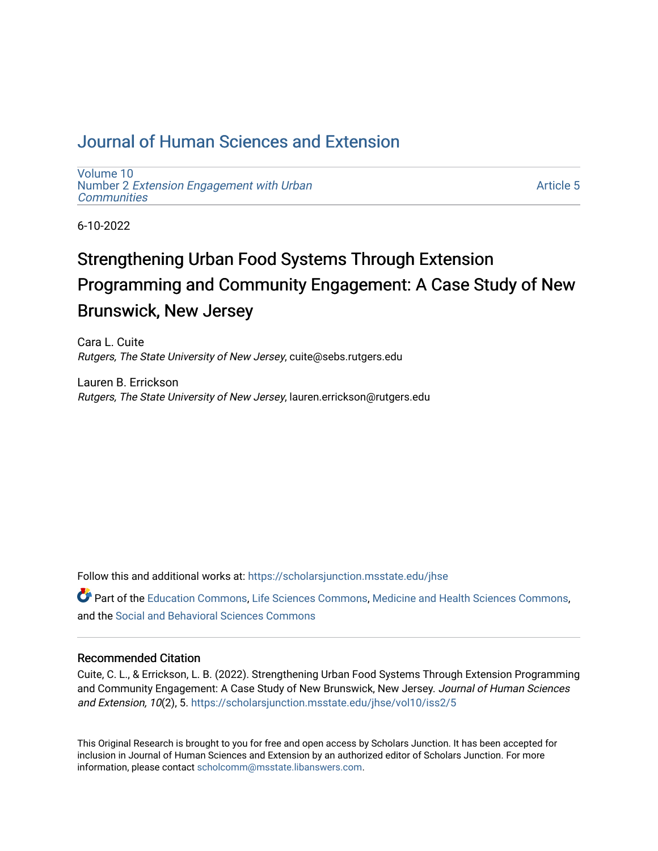## [Journal of Human Sciences and Extension](https://scholarsjunction.msstate.edu/jhse)

[Volume 10](https://scholarsjunction.msstate.edu/jhse/vol10) Number 2 [Extension Engagement with Urban](https://scholarsjunction.msstate.edu/jhse/vol10/iss2) **[Communities](https://scholarsjunction.msstate.edu/jhse/vol10/iss2)** 

[Article 5](https://scholarsjunction.msstate.edu/jhse/vol10/iss2/5) 

6-10-2022

# Strengthening Urban Food Systems Through Extension Programming and Community Engagement: A Case Study of New Brunswick, New Jersey

Cara L. Cuite Rutgers, The State University of New Jersey, cuite@sebs.rutgers.edu

Lauren B. Errickson Rutgers, The State University of New Jersey, lauren.errickson@rutgers.edu

Follow this and additional works at: [https://scholarsjunction.msstate.edu/jhse](https://scholarsjunction.msstate.edu/jhse?utm_source=scholarsjunction.msstate.edu%2Fjhse%2Fvol10%2Fiss2%2F5&utm_medium=PDF&utm_campaign=PDFCoverPages)

Part of the [Education Commons](https://network.bepress.com/hgg/discipline/784?utm_source=scholarsjunction.msstate.edu%2Fjhse%2Fvol10%2Fiss2%2F5&utm_medium=PDF&utm_campaign=PDFCoverPages), [Life Sciences Commons](https://network.bepress.com/hgg/discipline/1016?utm_source=scholarsjunction.msstate.edu%2Fjhse%2Fvol10%2Fiss2%2F5&utm_medium=PDF&utm_campaign=PDFCoverPages), [Medicine and Health Sciences Commons](https://network.bepress.com/hgg/discipline/648?utm_source=scholarsjunction.msstate.edu%2Fjhse%2Fvol10%2Fiss2%2F5&utm_medium=PDF&utm_campaign=PDFCoverPages), and the [Social and Behavioral Sciences Commons](https://network.bepress.com/hgg/discipline/316?utm_source=scholarsjunction.msstate.edu%2Fjhse%2Fvol10%2Fiss2%2F5&utm_medium=PDF&utm_campaign=PDFCoverPages) 

#### Recommended Citation

Cuite, C. L., & Errickson, L. B. (2022). Strengthening Urban Food Systems Through Extension Programming and Community Engagement: A Case Study of New Brunswick, New Jersey. Journal of Human Sciences and Extension, 10(2), 5. [https://scholarsjunction.msstate.edu/jhse/vol10/iss2/5](https://scholarsjunction.msstate.edu/jhse/vol10/iss2/5?utm_source=scholarsjunction.msstate.edu%2Fjhse%2Fvol10%2Fiss2%2F5&utm_medium=PDF&utm_campaign=PDFCoverPages) 

This Original Research is brought to you for free and open access by Scholars Junction. It has been accepted for inclusion in Journal of Human Sciences and Extension by an authorized editor of Scholars Junction. For more information, please contact [scholcomm@msstate.libanswers.com](mailto:scholcomm@msstate.libanswers.com).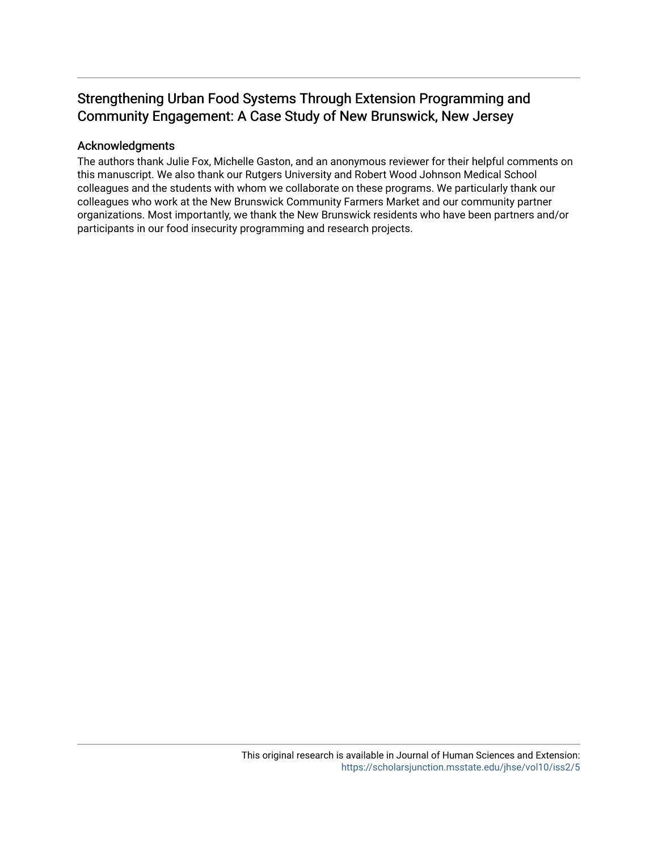## Strengthening Urban Food Systems Through Extension Programming and Community Engagement: A Case Study of New Brunswick, New Jersey

#### Acknowledgments

The authors thank Julie Fox, Michelle Gaston, and an anonymous reviewer for their helpful comments on this manuscript. We also thank our Rutgers University and Robert Wood Johnson Medical School colleagues and the students with whom we collaborate on these programs. We particularly thank our colleagues who work at the New Brunswick Community Farmers Market and our community partner organizations. Most importantly, we thank the New Brunswick residents who have been partners and/or participants in our food insecurity programming and research projects.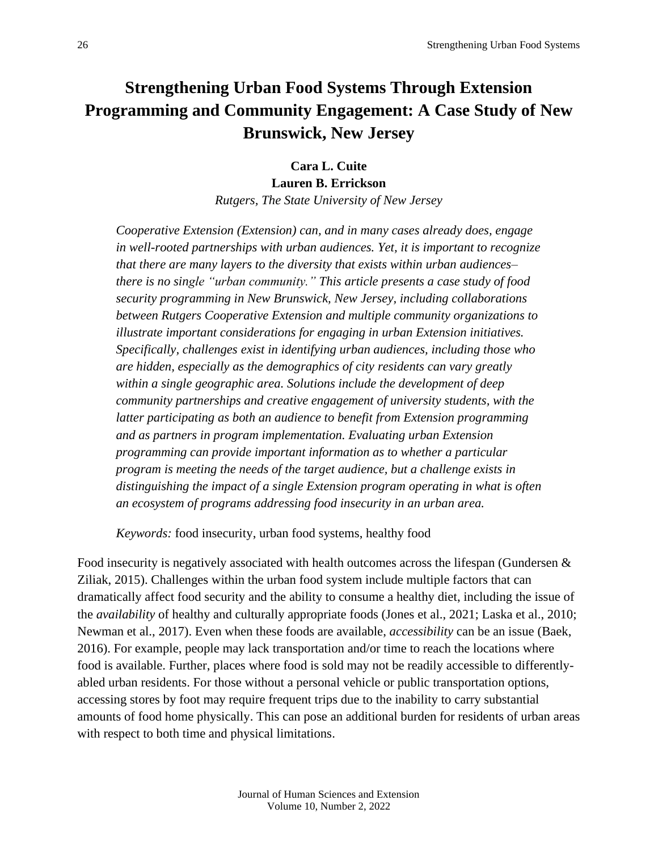## **Strengthening Urban Food Systems Through Extension Programming and Community Engagement: A Case Study of New Brunswick, New Jersey**

**Cara L. Cuite Lauren B. Errickson**

*Rutgers, The State University of New Jersey*

*Cooperative Extension (Extension) can, and in many cases already does, engage in well-rooted partnerships with urban audiences. Yet, it is important to recognize that there are many layers to the diversity that exists within urban audiences– there is no single "urban community." This article presents a case study of food security programming in New Brunswick, New Jersey, including collaborations between Rutgers Cooperative Extension and multiple community organizations to illustrate important considerations for engaging in urban Extension initiatives. Specifically, challenges exist in identifying urban audiences, including those who are hidden, especially as the demographics of city residents can vary greatly within a single geographic area. Solutions include the development of deep community partnerships and creative engagement of university students, with the latter participating as both an audience to benefit from Extension programming and as partners in program implementation. Evaluating urban Extension programming can provide important information as to whether a particular program is meeting the needs of the target audience, but a challenge exists in distinguishing the impact of a single Extension program operating in what is often an ecosystem of programs addressing food insecurity in an urban area.*

*Keywords:* food insecurity, urban food systems, healthy food

Food insecurity is negatively associated with health outcomes across the lifespan (Gundersen  $\&$ Ziliak, 2015). Challenges within the urban food system include multiple factors that can dramatically affect food security and the ability to consume a healthy diet, including the issue of the *availability* of healthy and culturally appropriate foods (Jones et al., 2021; Laska et al., 2010; Newman et al., 2017). Even when these foods are available, *accessibility* can be an issue (Baek, 2016). For example, people may lack transportation and/or time to reach the locations where food is available. Further, places where food is sold may not be readily accessible to differentlyabled urban residents. For those without a personal vehicle or public transportation options, accessing stores by foot may require frequent trips due to the inability to carry substantial amounts of food home physically. This can pose an additional burden for residents of urban areas with respect to both time and physical limitations.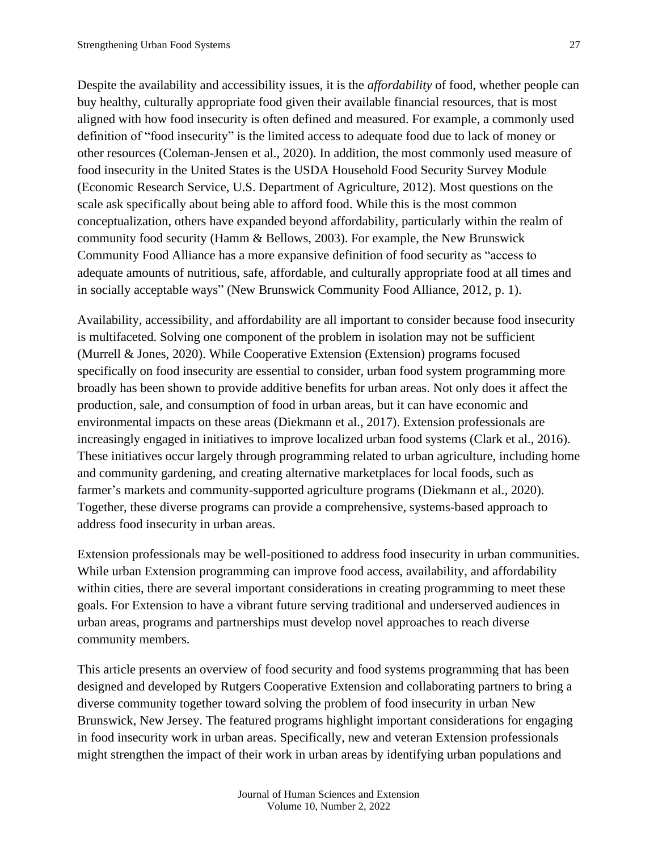Despite the availability and accessibility issues, it is the *affordability* of food, whether people can buy healthy, culturally appropriate food given their available financial resources, that is most aligned with how food insecurity is often defined and measured. For example, a commonly used definition of "food insecurity" is the limited access to adequate food due to lack of money or other resources (Coleman-Jensen et al., 2020). In addition, the most commonly used measure of food insecurity in the United States is the USDA Household Food Security Survey Module (Economic Research Service, U.S. Department of Agriculture, 2012). Most questions on the scale ask specifically about being able to afford food. While this is the most common conceptualization, others have expanded beyond affordability, particularly within the realm of community food security (Hamm & Bellows, 2003). For example, the New Brunswick Community Food Alliance has a more expansive definition of food security as "access to adequate amounts of nutritious, safe, affordable, and culturally appropriate food at all times and in socially acceptable ways" (New Brunswick Community Food Alliance, 2012, p. 1).

Availability, accessibility, and affordability are all important to consider because food insecurity is multifaceted. Solving one component of the problem in isolation may not be sufficient (Murrell & Jones, 2020). While Cooperative Extension (Extension) programs focused specifically on food insecurity are essential to consider, urban food system programming more broadly has been shown to provide additive benefits for urban areas. Not only does it affect the production, sale, and consumption of food in urban areas, but it can have economic and environmental impacts on these areas (Diekmann et al., 2017). Extension professionals are increasingly engaged in initiatives to improve localized urban food systems (Clark et al., 2016). These initiatives occur largely through programming related to urban agriculture, including home and community gardening, and creating alternative marketplaces for local foods, such as farmer's markets and community-supported agriculture programs (Diekmann et al., 2020). Together, these diverse programs can provide a comprehensive, systems-based approach to address food insecurity in urban areas.

Extension professionals may be well-positioned to address food insecurity in urban communities. While urban Extension programming can improve food access, availability, and affordability within cities, there are several important considerations in creating programming to meet these goals. For Extension to have a vibrant future serving traditional and underserved audiences in urban areas, programs and partnerships must develop novel approaches to reach diverse community members.

This article presents an overview of food security and food systems programming that has been designed and developed by Rutgers Cooperative Extension and collaborating partners to bring a diverse community together toward solving the problem of food insecurity in urban New Brunswick, New Jersey. The featured programs highlight important considerations for engaging in food insecurity work in urban areas. Specifically, new and veteran Extension professionals might strengthen the impact of their work in urban areas by identifying urban populations and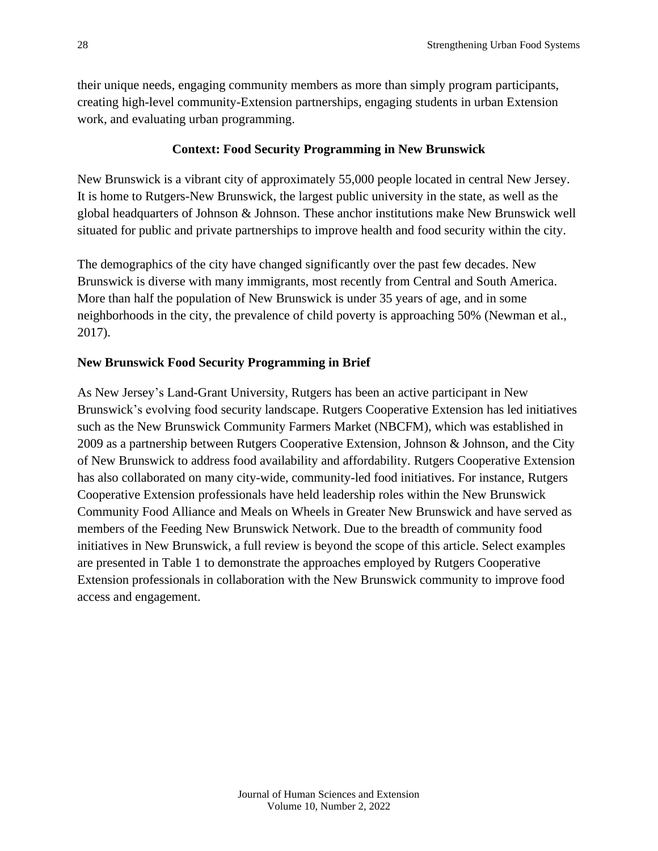their unique needs, engaging community members as more than simply program participants, creating high-level community-Extension partnerships, engaging students in urban Extension work, and evaluating urban programming.

### **Context: Food Security Programming in New Brunswick**

New Brunswick is a vibrant city of approximately 55,000 people located in central New Jersey. It is home to Rutgers-New Brunswick, the largest public university in the state, as well as the global headquarters of Johnson & Johnson. These anchor institutions make New Brunswick well situated for public and private partnerships to improve health and food security within the city.

The demographics of the city have changed significantly over the past few decades. New Brunswick is diverse with many immigrants, most recently from Central and South America. More than half the population of New Brunswick is under 35 years of age, and in some neighborhoods in the city, the prevalence of child poverty is approaching 50% (Newman et al., 2017).

## **New Brunswick Food Security Programming in Brief**

As New Jersey's Land-Grant University, Rutgers has been an active participant in New Brunswick's evolving food security landscape. Rutgers Cooperative Extension has led initiatives such as the New Brunswick Community Farmers Market (NBCFM), which was established in 2009 as a partnership between Rutgers Cooperative Extension, Johnson & Johnson, and the City of New Brunswick to address food availability and affordability. Rutgers Cooperative Extension has also collaborated on many city-wide, community-led food initiatives. For instance, Rutgers Cooperative Extension professionals have held leadership roles within the New Brunswick Community Food Alliance and Meals on Wheels in Greater New Brunswick and have served as members of the Feeding New Brunswick Network. Due to the breadth of community food initiatives in New Brunswick, a full review is beyond the scope of this article. Select examples are presented in Table 1 to demonstrate the approaches employed by Rutgers Cooperative Extension professionals in collaboration with the New Brunswick community to improve food access and engagement.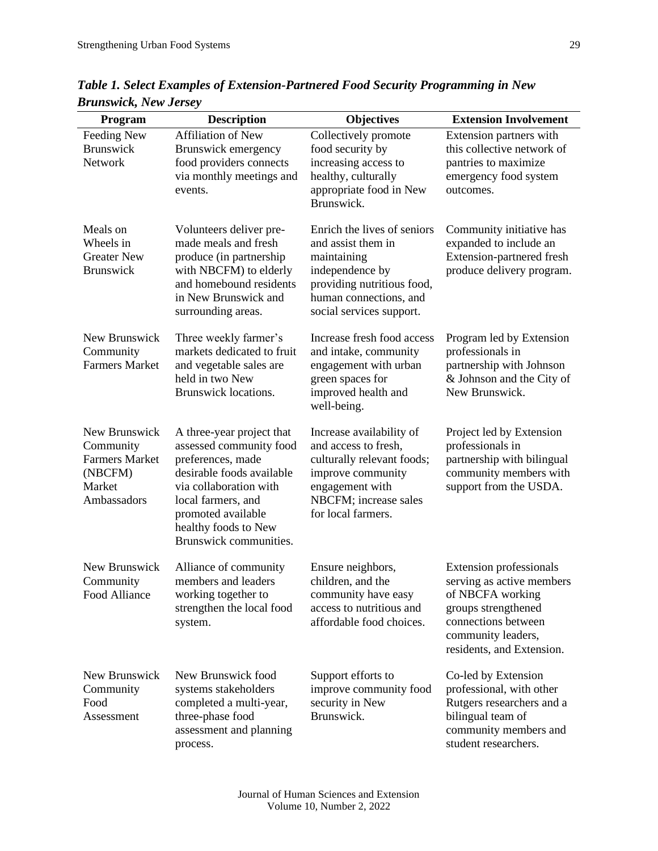| Program                                                                                 | <b>Description</b>                                                                                                                                                                                                             | <b>Objectives</b>                                                                                                                                                       | <b>Extension Involvement</b>                                                                                                                                                     |
|-----------------------------------------------------------------------------------------|--------------------------------------------------------------------------------------------------------------------------------------------------------------------------------------------------------------------------------|-------------------------------------------------------------------------------------------------------------------------------------------------------------------------|----------------------------------------------------------------------------------------------------------------------------------------------------------------------------------|
| Feeding New<br><b>Brunswick</b><br>Network                                              | <b>Affiliation of New</b><br>Brunswick emergency<br>food providers connects<br>via monthly meetings and<br>events.                                                                                                             | Collectively promote<br>food security by<br>increasing access to<br>healthy, culturally<br>appropriate food in New<br>Brunswick.                                        | Extension partners with<br>this collective network of<br>pantries to maximize<br>emergency food system<br>outcomes.                                                              |
| Meals on<br>Wheels in<br><b>Greater New</b><br><b>Brunswick</b>                         | Volunteers deliver pre-<br>made meals and fresh<br>produce (in partnership<br>with NBCFM) to elderly<br>and homebound residents<br>in New Brunswick and<br>surrounding areas.                                                  | Enrich the lives of seniors<br>and assist them in<br>maintaining<br>independence by<br>providing nutritious food,<br>human connections, and<br>social services support. | Community initiative has<br>expanded to include an<br>Extension-partnered fresh<br>produce delivery program.                                                                     |
| New Brunswick<br>Community<br><b>Farmers Market</b>                                     | Three weekly farmer's<br>markets dedicated to fruit<br>and vegetable sales are<br>held in two New<br>Brunswick locations.                                                                                                      | Increase fresh food access<br>and intake, community<br>engagement with urban<br>green spaces for<br>improved health and<br>well-being.                                  | Program led by Extension<br>professionals in<br>partnership with Johnson<br>& Johnson and the City of<br>New Brunswick.                                                          |
| New Brunswick<br>Community<br><b>Farmers Market</b><br>(NBCFM)<br>Market<br>Ambassadors | A three-year project that<br>assessed community food<br>preferences, made<br>desirable foods available<br>via collaboration with<br>local farmers, and<br>promoted available<br>healthy foods to New<br>Brunswick communities. | Increase availability of<br>and access to fresh,<br>culturally relevant foods;<br>improve community<br>engagement with<br>NBCFM; increase sales<br>for local farmers.   | Project led by Extension<br>professionals in<br>partnership with bilingual<br>community members with<br>support from the USDA.                                                   |
| New Brunswick<br>Community<br>Food Alliance                                             | Alliance of community<br>members and leaders<br>working together to<br>strengthen the local food<br>system.                                                                                                                    | Ensure neighbors,<br>children, and the<br>community have easy<br>access to nutritious and<br>affordable food choices.                                                   | <b>Extension professionals</b><br>serving as active members<br>of NBCFA working<br>groups strengthened<br>connections between<br>community leaders,<br>residents, and Extension. |
| New Brunswick<br>Community<br>Food<br>Assessment                                        | New Brunswick food<br>systems stakeholders<br>completed a multi-year,<br>three-phase food<br>assessment and planning<br>process.                                                                                               | Support efforts to<br>improve community food<br>security in New<br>Brunswick.                                                                                           | Co-led by Extension<br>professional, with other<br>Rutgers researchers and a<br>bilingual team of<br>community members and<br>student researchers.                               |

*Table 1. Select Examples of Extension-Partnered Food Security Programming in New Brunswick, New Jersey*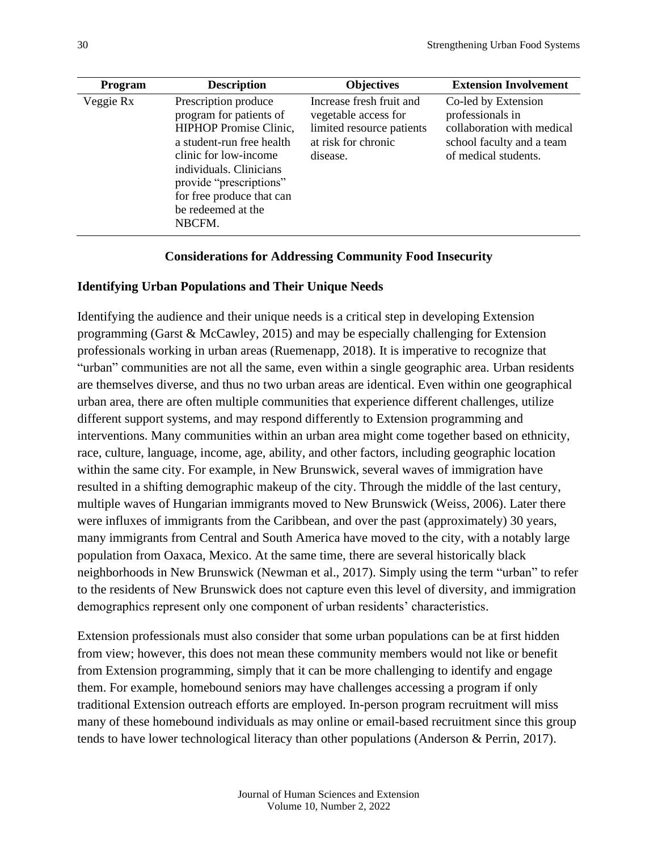| <b>Program</b> | <b>Description</b>                                                                                                                                                                                                                                        | <b>Objectives</b>                                                                                                | <b>Extension Involvement</b>                                                                                               |
|----------------|-----------------------------------------------------------------------------------------------------------------------------------------------------------------------------------------------------------------------------------------------------------|------------------------------------------------------------------------------------------------------------------|----------------------------------------------------------------------------------------------------------------------------|
| Veggie Rx      | Prescription produce<br>program for patients of<br><b>HIPHOP Promise Clinic,</b><br>a student-run free health<br>clinic for low-income<br>individuals. Clinicians<br>provide "prescriptions"<br>for free produce that can<br>be redeemed at the<br>NBCFM. | Increase fresh fruit and<br>vegetable access for<br>limited resource patients<br>at risk for chronic<br>disease. | Co-led by Extension<br>professionals in<br>collaboration with medical<br>school faculty and a team<br>of medical students. |

#### **Considerations for Addressing Community Food Insecurity**

#### **Identifying Urban Populations and Their Unique Needs**

Identifying the audience and their unique needs is a critical step in developing Extension programming (Garst & McCawley, 2015) and may be especially challenging for Extension professionals working in urban areas (Ruemenapp, 2018). It is imperative to recognize that "urban" communities are not all the same, even within a single geographic area. Urban residents are themselves diverse, and thus no two urban areas are identical. Even within one geographical urban area, there are often multiple communities that experience different challenges, utilize different support systems, and may respond differently to Extension programming and interventions. Many communities within an urban area might come together based on ethnicity, race, culture, language, income, age, ability, and other factors, including geographic location within the same city. For example, in New Brunswick, several waves of immigration have resulted in a shifting demographic makeup of the city. Through the middle of the last century, multiple waves of Hungarian immigrants moved to New Brunswick (Weiss, 2006). Later there were influxes of immigrants from the Caribbean, and over the past (approximately) 30 years, many immigrants from Central and South America have moved to the city, with a notably large population from Oaxaca, Mexico. At the same time, there are several historically black neighborhoods in New Brunswick (Newman et al., 2017). Simply using the term "urban" to refer to the residents of New Brunswick does not capture even this level of diversity, and immigration demographics represent only one component of urban residents' characteristics.

Extension professionals must also consider that some urban populations can be at first hidden from view; however, this does not mean these community members would not like or benefit from Extension programming, simply that it can be more challenging to identify and engage them. For example, homebound seniors may have challenges accessing a program if only traditional Extension outreach efforts are employed. In-person program recruitment will miss many of these homebound individuals as may online or email-based recruitment since this group tends to have lower technological literacy than other populations (Anderson & Perrin, 2017).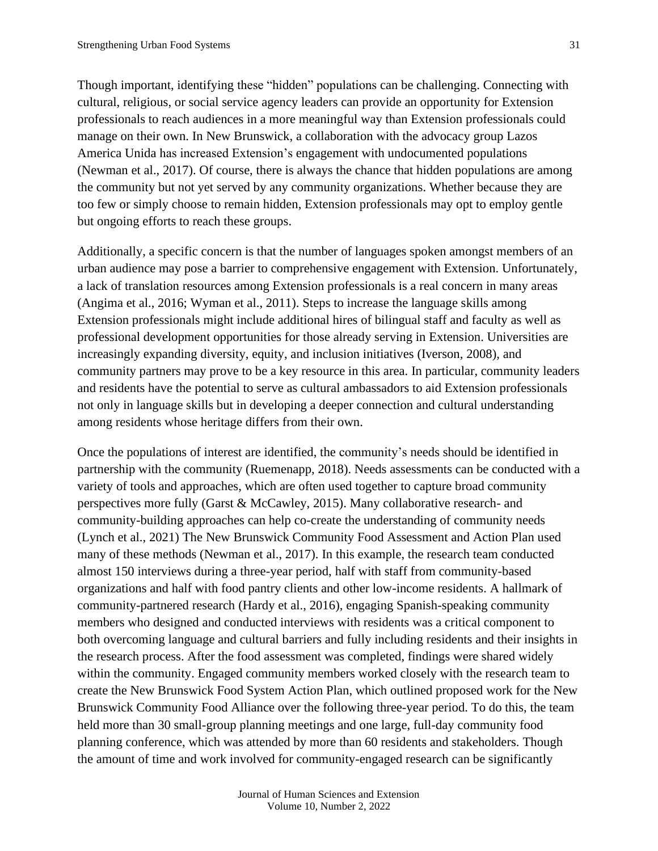Though important, identifying these "hidden" populations can be challenging. Connecting with cultural, religious, or social service agency leaders can provide an opportunity for Extension professionals to reach audiences in a more meaningful way than Extension professionals could manage on their own. In New Brunswick, a collaboration with the advocacy group Lazos America Unida has increased Extension's engagement with undocumented populations (Newman et al., 2017). Of course, there is always the chance that hidden populations are among the community but not yet served by any community organizations. Whether because they are too few or simply choose to remain hidden, Extension professionals may opt to employ gentle but ongoing efforts to reach these groups.

Additionally, a specific concern is that the number of languages spoken amongst members of an urban audience may pose a barrier to comprehensive engagement with Extension. Unfortunately, a lack of translation resources among Extension professionals is a real concern in many areas (Angima et al., 2016; Wyman et al., 2011). Steps to increase the language skills among Extension professionals might include additional hires of bilingual staff and faculty as well as professional development opportunities for those already serving in Extension. Universities are increasingly expanding diversity, equity, and inclusion initiatives (Iverson, 2008), and community partners may prove to be a key resource in this area. In particular, community leaders and residents have the potential to serve as cultural ambassadors to aid Extension professionals not only in language skills but in developing a deeper connection and cultural understanding among residents whose heritage differs from their own.

Once the populations of interest are identified, the community's needs should be identified in partnership with the community (Ruemenapp, 2018). Needs assessments can be conducted with a variety of tools and approaches, which are often used together to capture broad community perspectives more fully (Garst & McCawley, 2015). Many collaborative research- and community-building approaches can help co-create the understanding of community needs (Lynch et al., 2021) The New Brunswick Community Food Assessment and Action Plan used many of these methods (Newman et al., 2017). In this example, the research team conducted almost 150 interviews during a three-year period, half with staff from community-based organizations and half with food pantry clients and other low-income residents. A hallmark of community-partnered research (Hardy et al., 2016), engaging Spanish-speaking community members who designed and conducted interviews with residents was a critical component to both overcoming language and cultural barriers and fully including residents and their insights in the research process. After the food assessment was completed, findings were shared widely within the community. Engaged community members worked closely with the research team to create the New Brunswick Food System Action Plan, which outlined proposed work for the New Brunswick Community Food Alliance over the following three-year period. To do this, the team held more than 30 small-group planning meetings and one large, full-day community food planning conference, which was attended by more than 60 residents and stakeholders. Though the amount of time and work involved for community-engaged research can be significantly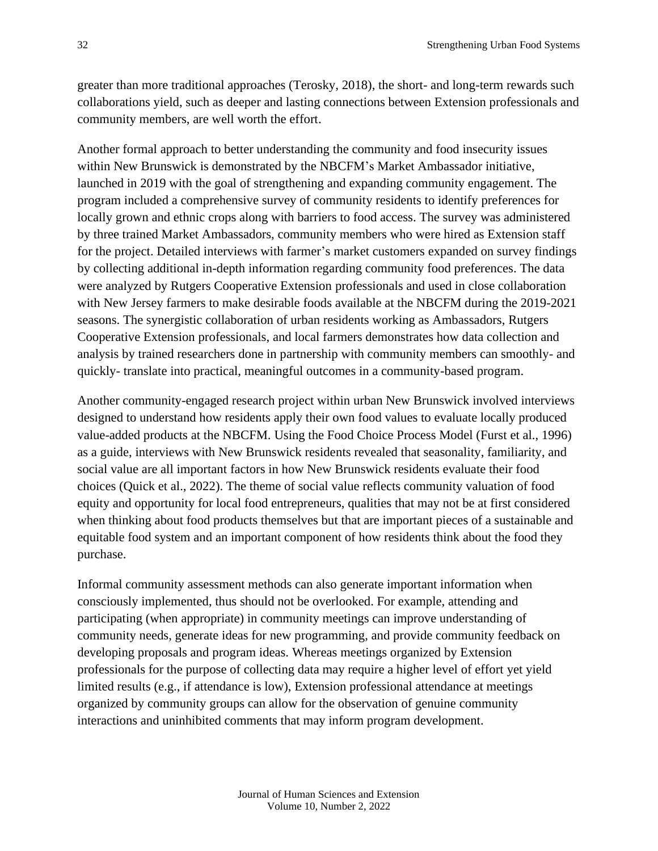greater than more traditional approaches (Terosky, 2018), the short- and long-term rewards such collaborations yield, such as deeper and lasting connections between Extension professionals and community members, are well worth the effort.

Another formal approach to better understanding the community and food insecurity issues within New Brunswick is demonstrated by the NBCFM's Market Ambassador initiative, launched in 2019 with the goal of strengthening and expanding community engagement. The program included a comprehensive survey of community residents to identify preferences for locally grown and ethnic crops along with barriers to food access. The survey was administered by three trained Market Ambassadors, community members who were hired as Extension staff for the project. Detailed interviews with farmer's market customers expanded on survey findings by collecting additional in-depth information regarding community food preferences. The data were analyzed by Rutgers Cooperative Extension professionals and used in close collaboration with New Jersey farmers to make desirable foods available at the NBCFM during the 2019-2021 seasons. The synergistic collaboration of urban residents working as Ambassadors, Rutgers Cooperative Extension professionals, and local farmers demonstrates how data collection and analysis by trained researchers done in partnership with community members can smoothly- and quickly- translate into practical, meaningful outcomes in a community-based program.

Another community-engaged research project within urban New Brunswick involved interviews designed to understand how residents apply their own food values to evaluate locally produced value-added products at the NBCFM. Using the Food Choice Process Model (Furst et al., 1996) as a guide, interviews with New Brunswick residents revealed that seasonality, familiarity, and social value are all important factors in how New Brunswick residents evaluate their food choices (Quick et al., 2022). The theme of social value reflects community valuation of food equity and opportunity for local food entrepreneurs, qualities that may not be at first considered when thinking about food products themselves but that are important pieces of a sustainable and equitable food system and an important component of how residents think about the food they purchase.

Informal community assessment methods can also generate important information when consciously implemented, thus should not be overlooked. For example, attending and participating (when appropriate) in community meetings can improve understanding of community needs, generate ideas for new programming, and provide community feedback on developing proposals and program ideas. Whereas meetings organized by Extension professionals for the purpose of collecting data may require a higher level of effort yet yield limited results (e.g., if attendance is low), Extension professional attendance at meetings organized by community groups can allow for the observation of genuine community interactions and uninhibited comments that may inform program development.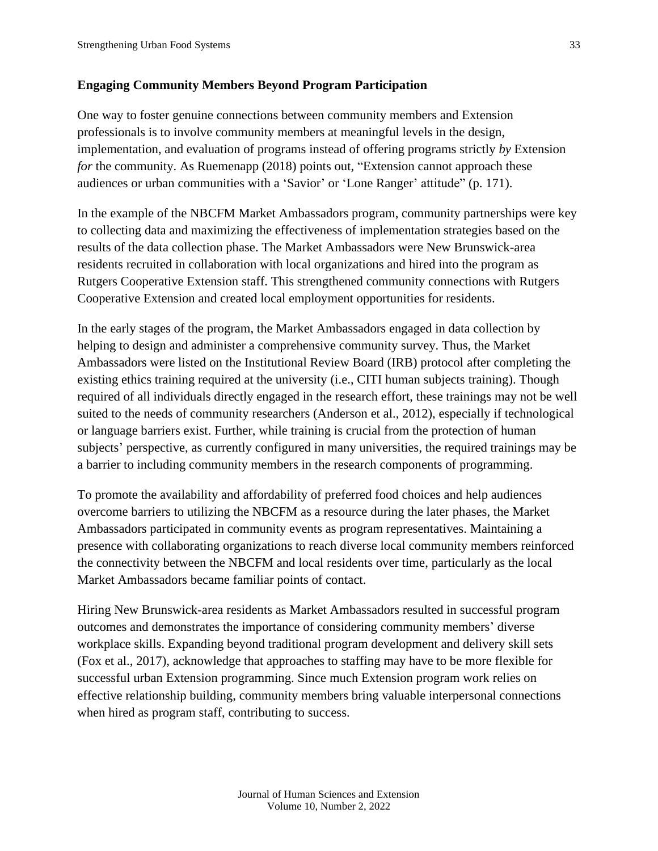### **Engaging Community Members Beyond Program Participation**

One way to foster genuine connections between community members and Extension professionals is to involve community members at meaningful levels in the design, implementation, and evaluation of programs instead of offering programs strictly *by* Extension *for* the community. As Ruemenapp (2018) points out, "Extension cannot approach these audiences or urban communities with a 'Savior' or 'Lone Ranger' attitude" (p. 171).

In the example of the NBCFM Market Ambassadors program, community partnerships were key to collecting data and maximizing the effectiveness of implementation strategies based on the results of the data collection phase. The Market Ambassadors were New Brunswick-area residents recruited in collaboration with local organizations and hired into the program as Rutgers Cooperative Extension staff. This strengthened community connections with Rutgers Cooperative Extension and created local employment opportunities for residents.

In the early stages of the program, the Market Ambassadors engaged in data collection by helping to design and administer a comprehensive community survey. Thus, the Market Ambassadors were listed on the Institutional Review Board (IRB) protocol after completing the existing ethics training required at the university (i.e., CITI human subjects training). Though required of all individuals directly engaged in the research effort, these trainings may not be well suited to the needs of community researchers (Anderson et al., 2012), especially if technological or language barriers exist. Further, while training is crucial from the protection of human subjects' perspective, as currently configured in many universities, the required trainings may be a barrier to including community members in the research components of programming.

To promote the availability and affordability of preferred food choices and help audiences overcome barriers to utilizing the NBCFM as a resource during the later phases, the Market Ambassadors participated in community events as program representatives. Maintaining a presence with collaborating organizations to reach diverse local community members reinforced the connectivity between the NBCFM and local residents over time, particularly as the local Market Ambassadors became familiar points of contact.

Hiring New Brunswick-area residents as Market Ambassadors resulted in successful program outcomes and demonstrates the importance of considering community members' diverse workplace skills. Expanding beyond traditional program development and delivery skill sets (Fox et al., 2017), acknowledge that approaches to staffing may have to be more flexible for successful urban Extension programming. Since much Extension program work relies on effective relationship building, community members bring valuable interpersonal connections when hired as program staff, contributing to success.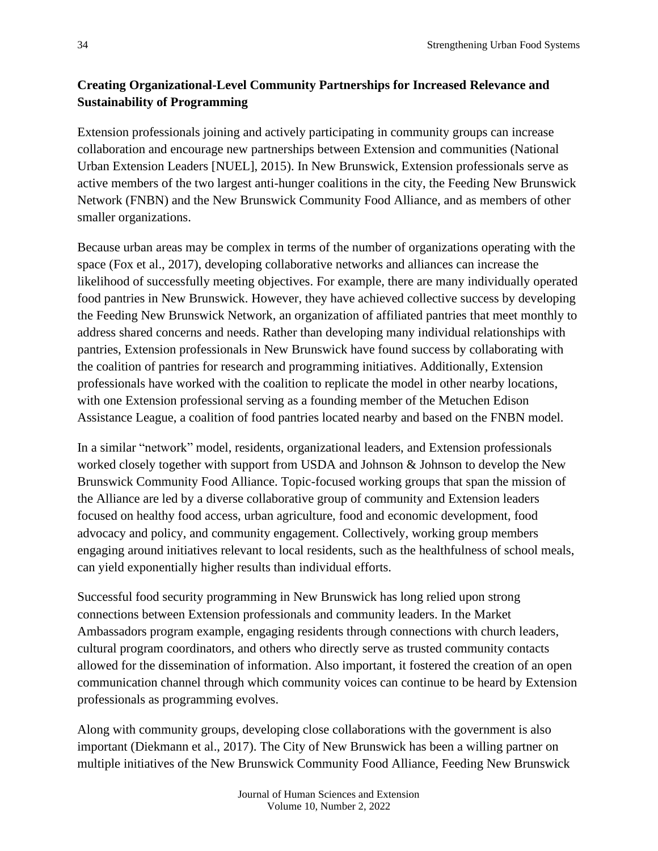## **Creating Organizational-Level Community Partnerships for Increased Relevance and Sustainability of Programming**

Extension professionals joining and actively participating in community groups can increase collaboration and encourage new partnerships between Extension and communities (National Urban Extension Leaders [NUEL], 2015). In New Brunswick, Extension professionals serve as active members of the two largest anti-hunger coalitions in the city, the Feeding New Brunswick Network (FNBN) and the New Brunswick Community Food Alliance, and as members of other smaller organizations.

Because urban areas may be complex in terms of the number of organizations operating with the space (Fox et al., 2017), developing collaborative networks and alliances can increase the likelihood of successfully meeting objectives. For example, there are many individually operated food pantries in New Brunswick. However, they have achieved collective success by developing the Feeding New Brunswick Network, an organization of affiliated pantries that meet monthly to address shared concerns and needs. Rather than developing many individual relationships with pantries, Extension professionals in New Brunswick have found success by collaborating with the coalition of pantries for research and programming initiatives. Additionally, Extension professionals have worked with the coalition to replicate the model in other nearby locations, with one Extension professional serving as a founding member of the Metuchen Edison Assistance League, a coalition of food pantries located nearby and based on the FNBN model.

In a similar "network" model, residents, organizational leaders, and Extension professionals worked closely together with support from USDA and Johnson & Johnson to develop the New Brunswick Community Food Alliance. Topic-focused working groups that span the mission of the Alliance are led by a diverse collaborative group of community and Extension leaders focused on healthy food access, urban agriculture, food and economic development, food advocacy and policy, and community engagement. Collectively, working group members engaging around initiatives relevant to local residents, such as the healthfulness of school meals, can yield exponentially higher results than individual efforts.

Successful food security programming in New Brunswick has long relied upon strong connections between Extension professionals and community leaders. In the Market Ambassadors program example, engaging residents through connections with church leaders, cultural program coordinators, and others who directly serve as trusted community contacts allowed for the dissemination of information. Also important, it fostered the creation of an open communication channel through which community voices can continue to be heard by Extension professionals as programming evolves.

Along with community groups, developing close collaborations with the government is also important (Diekmann et al., 2017). The City of New Brunswick has been a willing partner on multiple initiatives of the New Brunswick Community Food Alliance, Feeding New Brunswick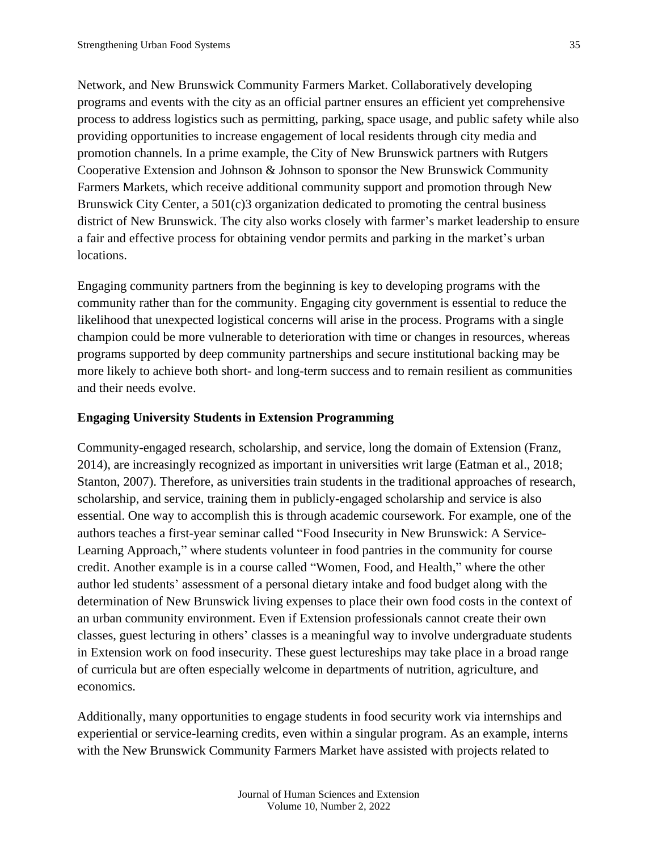Network, and New Brunswick Community Farmers Market. Collaboratively developing programs and events with the city as an official partner ensures an efficient yet comprehensive process to address logistics such as permitting, parking, space usage, and public safety while also providing opportunities to increase engagement of local residents through city media and promotion channels. In a prime example, the City of New Brunswick partners with Rutgers Cooperative Extension and Johnson & Johnson to sponsor the New Brunswick Community Farmers Markets, which receive additional community support and promotion through New Brunswick City Center, a 501(c)3 organization dedicated to promoting the central business district of New Brunswick. The city also works closely with farmer's market leadership to ensure a fair and effective process for obtaining vendor permits and parking in the market's urban locations.

Engaging community partners from the beginning is key to developing programs with the community rather than for the community. Engaging city government is essential to reduce the likelihood that unexpected logistical concerns will arise in the process. Programs with a single champion could be more vulnerable to deterioration with time or changes in resources, whereas programs supported by deep community partnerships and secure institutional backing may be more likely to achieve both short- and long-term success and to remain resilient as communities and their needs evolve.

#### **Engaging University Students in Extension Programming**

Community-engaged research, scholarship, and service, long the domain of Extension (Franz, 2014), are increasingly recognized as important in universities writ large (Eatman et al., 2018; Stanton, 2007). Therefore, as universities train students in the traditional approaches of research, scholarship, and service, training them in publicly-engaged scholarship and service is also essential. One way to accomplish this is through academic coursework. For example, one of the authors teaches a first-year seminar called "Food Insecurity in New Brunswick: A Service-Learning Approach," where students volunteer in food pantries in the community for course credit. Another example is in a course called "Women, Food, and Health," where the other author led students' assessment of a personal dietary intake and food budget along with the determination of New Brunswick living expenses to place their own food costs in the context of an urban community environment. Even if Extension professionals cannot create their own classes, guest lecturing in others' classes is a meaningful way to involve undergraduate students in Extension work on food insecurity. These guest lectureships may take place in a broad range of curricula but are often especially welcome in departments of nutrition, agriculture, and economics.

Additionally, many opportunities to engage students in food security work via internships and experiential or service-learning credits, even within a singular program. As an example, interns with the New Brunswick Community Farmers Market have assisted with projects related to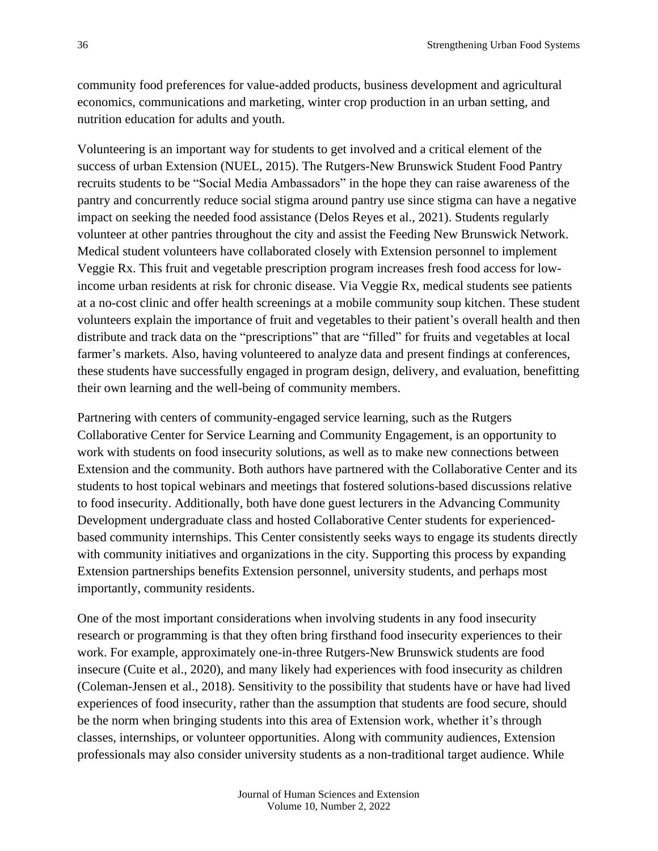community food preferences for value-added products, business development and agricultural economics, communications and marketing, winter crop production in an urban setting, and nutrition education for adults and youth.

Volunteering is an important way for students to get involved and a critical element of the success of urban Extension (NUEL, 2015). The Rutgers-New Brunswick Student Food Pantry recruits students to be "Social Media Ambassadors" in the hope they can raise awareness of the pantry and concurrently reduce social stigma around pantry use since stigma can have a negative impact on seeking the needed food assistance (Delos Reyes et al., 2021). Students regularly volunteer at other pantries throughout the city and assist the Feeding New Brunswick Network. Medical student volunteers have collaborated closely with Extension personnel to implement Veggie Rx. This fruit and vegetable prescription program increases fresh food access for lowincome urban residents at risk for chronic disease. Via Veggie Rx, medical students see patients at a no-cost clinic and offer health screenings at a mobile community soup kitchen. These student volunteers explain the importance of fruit and vegetables to their patient's overall health and then distribute and track data on the "prescriptions" that are "filled" for fruits and vegetables at local farmer's markets. Also, having volunteered to analyze data and present findings at conferences, these students have successfully engaged in program design, delivery, and evaluation, benefitting their own learning and the well-being of community members.

Partnering with centers of community-engaged service learning, such as the Rutgers Collaborative Center for Service Learning and Community Engagement, is an opportunity to work with students on food insecurity solutions, as well as to make new connections between Extension and the community. Both authors have partnered with the Collaborative Center and its students to host topical webinars and meetings that fostered solutions-based discussions relative to food insecurity. Additionally, both have done guest lecturers in the Advancing Community Development undergraduate class and hosted Collaborative Center students for experiencedbased community internships. This Center consistently seeks ways to engage its students directly with community initiatives and organizations in the city. Supporting this process by expanding Extension partnerships benefits Extension personnel, university students, and perhaps most importantly, community residents.

One of the most important considerations when involving students in any food insecurity research or programming is that they often bring firsthand food insecurity experiences to their work. For example, approximately one-in-three Rutgers-New Brunswick students are food insecure (Cuite et al., 2020), and many likely had experiences with food insecurity as children (Coleman-Jensen et al., 2018). Sensitivity to the possibility that students have or have had lived experiences of food insecurity, rather than the assumption that students are food secure, should be the norm when bringing students into this area of Extension work, whether it's through classes, internships, or volunteer opportunities. Along with community audiences, Extension professionals may also consider university students as a non-traditional target audience. While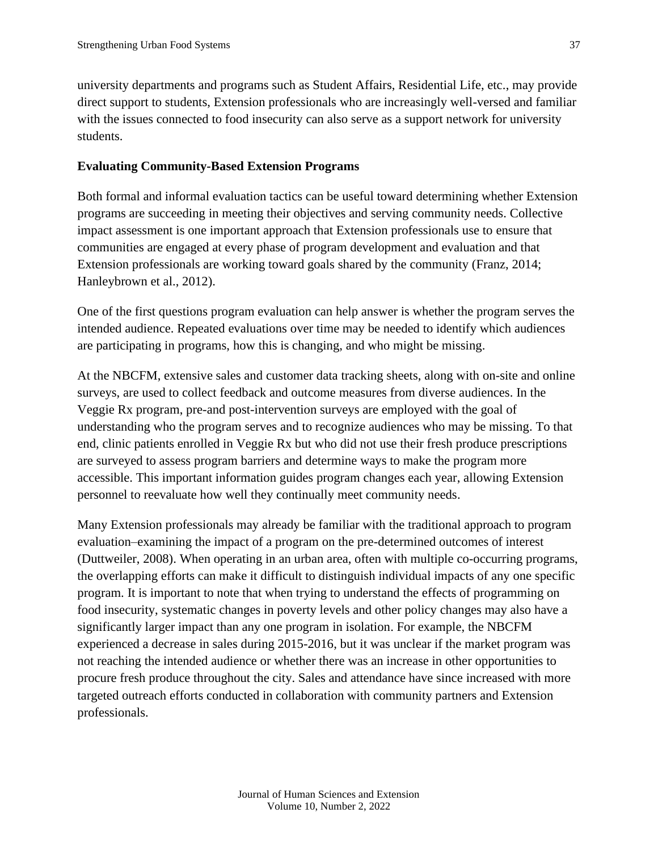university departments and programs such as Student Affairs, Residential Life, etc., may provide direct support to students, Extension professionals who are increasingly well-versed and familiar with the issues connected to food insecurity can also serve as a support network for university students.

#### **Evaluating Community-Based Extension Programs**

Both formal and informal evaluation tactics can be useful toward determining whether Extension programs are succeeding in meeting their objectives and serving community needs. Collective impact assessment is one important approach that Extension professionals use to ensure that communities are engaged at every phase of program development and evaluation and that Extension professionals are working toward goals shared by the community (Franz, 2014; Hanleybrown et al., 2012).

One of the first questions program evaluation can help answer is whether the program serves the intended audience. Repeated evaluations over time may be needed to identify which audiences are participating in programs, how this is changing, and who might be missing.

At the NBCFM, extensive sales and customer data tracking sheets, along with on-site and online surveys, are used to collect feedback and outcome measures from diverse audiences. In the Veggie Rx program, pre-and post-intervention surveys are employed with the goal of understanding who the program serves and to recognize audiences who may be missing. To that end, clinic patients enrolled in Veggie Rx but who did not use their fresh produce prescriptions are surveyed to assess program barriers and determine ways to make the program more accessible. This important information guides program changes each year, allowing Extension personnel to reevaluate how well they continually meet community needs.

Many Extension professionals may already be familiar with the traditional approach to program evaluation–examining the impact of a program on the pre-determined outcomes of interest (Duttweiler, 2008). When operating in an urban area, often with multiple co-occurring programs, the overlapping efforts can make it difficult to distinguish individual impacts of any one specific program. It is important to note that when trying to understand the effects of programming on food insecurity, systematic changes in poverty levels and other policy changes may also have a significantly larger impact than any one program in isolation. For example, the NBCFM experienced a decrease in sales during 2015-2016, but it was unclear if the market program was not reaching the intended audience or whether there was an increase in other opportunities to procure fresh produce throughout the city. Sales and attendance have since increased with more targeted outreach efforts conducted in collaboration with community partners and Extension professionals.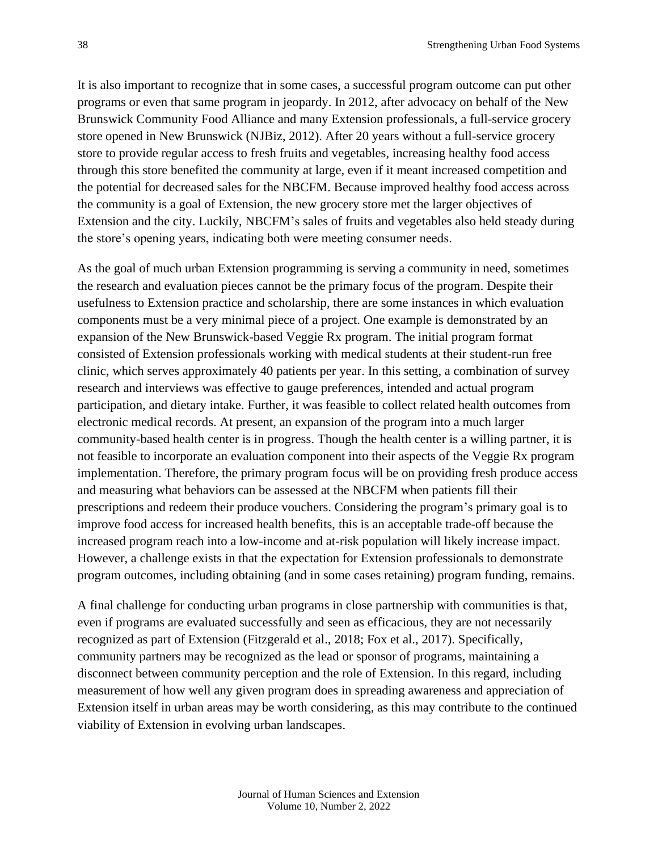It is also important to recognize that in some cases, a successful program outcome can put other programs or even that same program in jeopardy. In 2012, after advocacy on behalf of the New Brunswick Community Food Alliance and many Extension professionals, a full-service grocery store opened in New Brunswick (NJBiz, 2012). After 20 years without a full-service grocery store to provide regular access to fresh fruits and vegetables, increasing healthy food access through this store benefited the community at large, even if it meant increased competition and the potential for decreased sales for the NBCFM. Because improved healthy food access across the community is a goal of Extension, the new grocery store met the larger objectives of Extension and the city. Luckily, NBCFM's sales of fruits and vegetables also held steady during the store's opening years, indicating both were meeting consumer needs.

As the goal of much urban Extension programming is serving a community in need, sometimes the research and evaluation pieces cannot be the primary focus of the program. Despite their usefulness to Extension practice and scholarship, there are some instances in which evaluation components must be a very minimal piece of a project. One example is demonstrated by an expansion of the New Brunswick-based Veggie Rx program. The initial program format consisted of Extension professionals working with medical students at their student-run free clinic, which serves approximately 40 patients per year. In this setting, a combination of survey research and interviews was effective to gauge preferences, intended and actual program participation, and dietary intake. Further, it was feasible to collect related health outcomes from electronic medical records. At present, an expansion of the program into a much larger community-based health center is in progress. Though the health center is a willing partner, it is not feasible to incorporate an evaluation component into their aspects of the Veggie Rx program implementation. Therefore, the primary program focus will be on providing fresh produce access and measuring what behaviors can be assessed at the NBCFM when patients fill their prescriptions and redeem their produce vouchers. Considering the program's primary goal is to improve food access for increased health benefits, this is an acceptable trade-off because the increased program reach into a low-income and at-risk population will likely increase impact. However, a challenge exists in that the expectation for Extension professionals to demonstrate program outcomes, including obtaining (and in some cases retaining) program funding, remains.

A final challenge for conducting urban programs in close partnership with communities is that, even if programs are evaluated successfully and seen as efficacious, they are not necessarily recognized as part of Extension (Fitzgerald et al., 2018; Fox et al., 2017). Specifically, community partners may be recognized as the lead or sponsor of programs, maintaining a disconnect between community perception and the role of Extension. In this regard, including measurement of how well any given program does in spreading awareness and appreciation of Extension itself in urban areas may be worth considering, as this may contribute to the continued viability of Extension in evolving urban landscapes.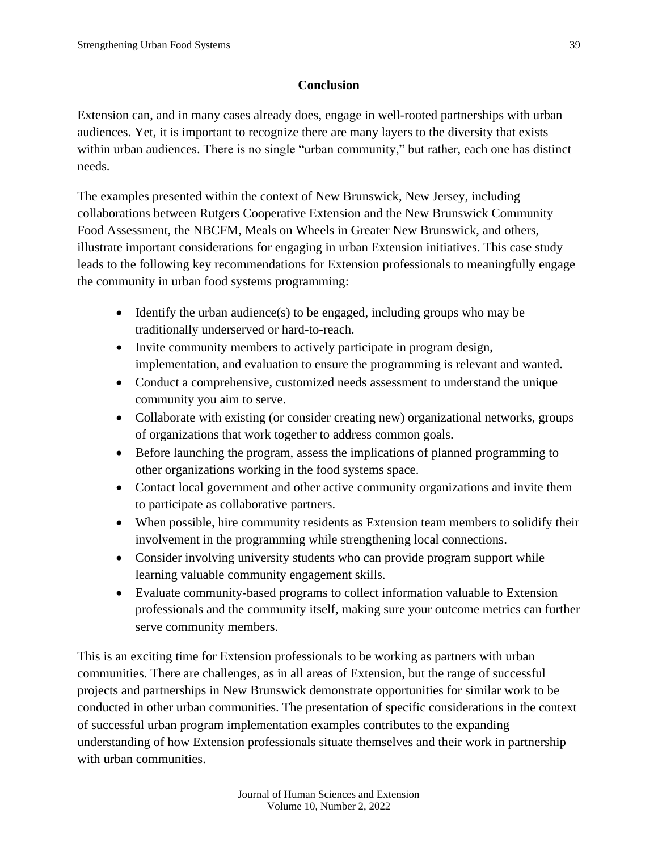#### **Conclusion**

Extension can, and in many cases already does, engage in well-rooted partnerships with urban audiences. Yet, it is important to recognize there are many layers to the diversity that exists within urban audiences. There is no single "urban community," but rather, each one has distinct needs.

The examples presented within the context of New Brunswick, New Jersey, including collaborations between Rutgers Cooperative Extension and the New Brunswick Community Food Assessment, the NBCFM, Meals on Wheels in Greater New Brunswick, and others, illustrate important considerations for engaging in urban Extension initiatives. This case study leads to the following key recommendations for Extension professionals to meaningfully engage the community in urban food systems programming:

- Identify the urban audience(s) to be engaged, including groups who may be traditionally underserved or hard-to-reach.
- Invite community members to actively participate in program design, implementation, and evaluation to ensure the programming is relevant and wanted.
- Conduct a comprehensive, customized needs assessment to understand the unique community you aim to serve.
- Collaborate with existing (or consider creating new) organizational networks, groups of organizations that work together to address common goals.
- Before launching the program, assess the implications of planned programming to other organizations working in the food systems space.
- Contact local government and other active community organizations and invite them to participate as collaborative partners.
- When possible, hire community residents as Extension team members to solidify their involvement in the programming while strengthening local connections.
- Consider involving university students who can provide program support while learning valuable community engagement skills.
- Evaluate community-based programs to collect information valuable to Extension professionals and the community itself, making sure your outcome metrics can further serve community members.

This is an exciting time for Extension professionals to be working as partners with urban communities. There are challenges, as in all areas of Extension, but the range of successful projects and partnerships in New Brunswick demonstrate opportunities for similar work to be conducted in other urban communities. The presentation of specific considerations in the context of successful urban program implementation examples contributes to the expanding understanding of how Extension professionals situate themselves and their work in partnership with urban communities.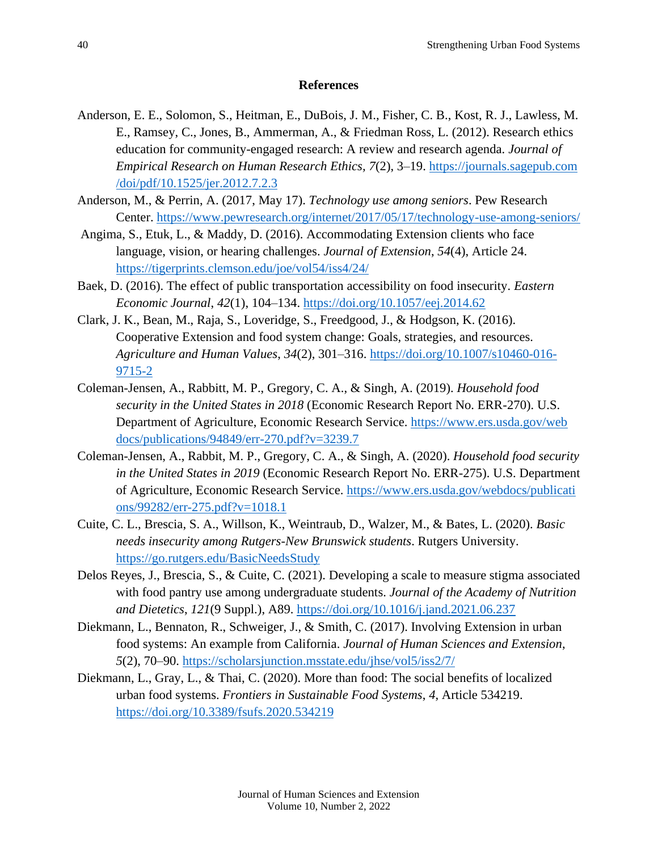#### **References**

- Anderson, E. E., Solomon, S., Heitman, E., DuBois, J. M., Fisher, C. B., Kost, R. J., Lawless, M. E., Ramsey, C., Jones, B., Ammerman, A., & Friedman Ross, L. (2012). Research ethics education for community-engaged research: A review and research agenda. *Journal of Empirical Research on Human Research Ethics, 7*(2), 3–19. [https://journals.sagepub.com](https://journals.sagepub.com/doi/pdf/10.1525/jer.2012.7.2.3) [/doi/pdf/10.1525/jer.2012.7.2.3](https://journals.sagepub.com/doi/pdf/10.1525/jer.2012.7.2.3)
- Anderson, M., & Perrin, A. (2017, May 17). *Technology use among seniors*. Pew Research Center.<https://www.pewresearch.org/internet/2017/05/17/technology-use-among-seniors/>
- Angima, S., Etuk, L., & Maddy, D. (2016). Accommodating Extension clients who face language, vision, or hearing challenges. *Journal of Extension*, *54*(4), Article 24. <https://tigerprints.clemson.edu/joe/vol54/iss4/24/>
- Baek, D. (2016). The effect of public transportation accessibility on food insecurity. *Eastern Economic Journal*, *42*(1), 104–134.<https://doi.org/10.1057/eej.2014.62>
- Clark, J. K., Bean, M., Raja, S., Loveridge, S., Freedgood, J., & Hodgson, K. (2016). Cooperative Extension and food system change: Goals, strategies, and resources. *Agriculture and Human Values*, *34*(2), 301–316. [https://doi.org/10.1007/s10460-016-](https://doi.org/10.1007/s10460-016-9715-2) [9715-2](https://doi.org/10.1007/s10460-016-9715-2)
- Coleman-Jensen, A., Rabbitt, M. P., Gregory, C. A., & Singh, A. (2019). *Household food security in the United States in 2018* (Economic Research Report No. ERR-270). U.S. Department of Agriculture, Economic Research Service. [https://www.ers.usda.gov/web](https://www.ers.usda.gov/webdocs/publications/94849/err-270.pdf?v=3239.7) [docs/publications/94849/err-270.pdf?v=3239.7](https://www.ers.usda.gov/webdocs/publications/94849/err-270.pdf?v=3239.7)
- Coleman-Jensen, A., Rabbit, M. P., Gregory, C. A., & Singh, A. (2020). *Household food security in the United States in 2019* (Economic Research Report No. ERR-275). U.S. Department of Agriculture, Economic Research Service. [https://www.ers.usda.gov/webdocs/publicati](https://www.ers.usda.gov/webdocs/publications/99282/err-275.pdf?v=1018.1) [ons/99282/err-275.pdf?v=1018.1](https://www.ers.usda.gov/webdocs/publications/99282/err-275.pdf?v=1018.1)
- Cuite, C. L., Brescia, S. A., Willson, K., Weintraub, D., Walzer, M., & Bates, L. (2020). *Basic needs insecurity among Rutgers-New Brunswick students*. Rutgers University. <https://go.rutgers.edu/BasicNeedsStudy>
- Delos Reyes, J., Brescia, S., & Cuite, C. (2021). Developing a scale to measure stigma associated with food pantry use among undergraduate students. *Journal of the Academy of Nutrition and Dietetics*, *121*(9 Suppl.), A89.<https://doi.org/10.1016/j.jand.2021.06.237>
- Diekmann, L., Bennaton, R., Schweiger, J., & Smith, C. (2017). Involving Extension in urban food systems: An example from California. *Journal of Human Sciences and Extension*, *5*(2), 70–90.<https://scholarsjunction.msstate.edu/jhse/vol5/iss2/7/>
- Diekmann, L., Gray, L., & Thai, C. (2020). More than food: The social benefits of localized urban food systems. *Frontiers in Sustainable Food Systems*, *4*, Article 534219. <https://doi.org/10.3389/fsufs.2020.534219>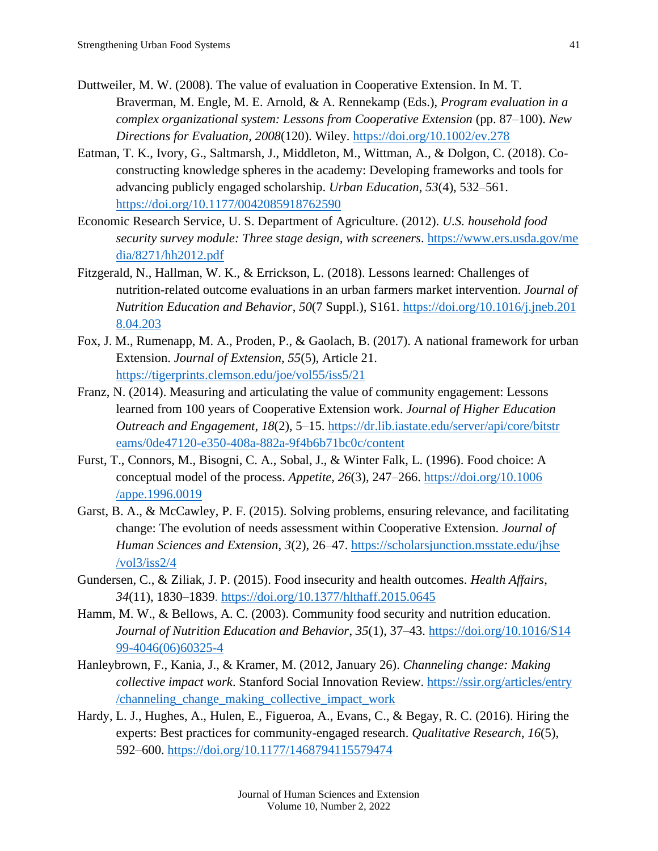- Duttweiler, M. W. (2008). The value of evaluation in Cooperative Extension. In M. T. Braverman, M. Engle, M. E. Arnold, & A. Rennekamp (Eds.), *Program evaluation in a complex organizational system: Lessons from Cooperative Extension* (pp. 87–100). *New Directions for Evaluation, 2008*(120). Wiley.<https://doi.org/10.1002/ev.278>
- Eatman, T. K., Ivory, G., Saltmarsh, J., Middleton, M., Wittman, A., & Dolgon, C. (2018). Coconstructing knowledge spheres in the academy: Developing frameworks and tools for advancing publicly engaged scholarship. *Urban Education*, *53*(4), 532–561. <https://doi.org/10.1177/0042085918762590>
- Economic Research Service, U. S. Department of Agriculture. (2012). *U.S. household food security survey module: Three stage design, with screeners*. [https://www.ers.usda.gov/me](https://www.ers.usda.gov/media/8271/hh2012.pdf) [dia/8271/hh2012.pdf](https://www.ers.usda.gov/media/8271/hh2012.pdf)
- Fitzgerald, N., Hallman, W. K., & Errickson, L. (2018). Lessons learned: Challenges of nutrition-related outcome evaluations in an urban farmers market intervention. *Journal of Nutrition Education and Behavior*, *50*(7 Suppl.), S161. [https://doi.org/10.1016/j.jneb.201](https://doi.org/10.1016/j.jneb.2018.04.203) [8.04.203](https://doi.org/10.1016/j.jneb.2018.04.203)
- Fox, J. M., Rumenapp, M. A., Proden, P., & Gaolach, B. (2017). A national framework for urban Extension. *Journal of Extension*, *55*(5), Article 21. <https://tigerprints.clemson.edu/joe/vol55/iss5/21>
- Franz, N. (2014). Measuring and articulating the value of community engagement: Lessons learned from 100 years of Cooperative Extension work. *Journal of Higher Education Outreach and Engagement*, *18*(2), 5–15. [https://dr.lib.iastate.edu/server/api/core/bitstr](https://dr.lib.iastate.edu/server/api/core/bitstreams/0de47120-e350-408a-882a-9f4b6b71bc0c/content) [eams/0de47120-e350-408a-882a-9f4b6b71bc0c/content](https://dr.lib.iastate.edu/server/api/core/bitstreams/0de47120-e350-408a-882a-9f4b6b71bc0c/content)
- Furst, T., Connors, M., Bisogni, C. A., Sobal, J., & Winter Falk, L. (1996). Food choice: A conceptual model of the process. *Appetite, 26*(3)*,* 247–266. [https://doi.org/10.1006](https://doi.org/10.1006/appe.1996.0019) [/appe.1996.0019](https://doi.org/10.1006/appe.1996.0019)
- Garst, B. A., & McCawley, P. F. (2015). Solving problems, ensuring relevance, and facilitating change: The evolution of needs assessment within Cooperative Extension. *Journal of Human Sciences and Extension*, *3*(2), 26–47. [https://scholarsjunction.msstate.edu/jhse](https://scholarsjunction.msstate.edu/jhse/vol3/iss2/4) [/vol3/iss2/4](https://scholarsjunction.msstate.edu/jhse/vol3/iss2/4)
- Gundersen, C., & Ziliak, J. P. (2015). Food insecurity and health outcomes. *Health Affairs*, *34*(11), 1830–1839.<https://doi.org/10.1377/hlthaff.2015.0645>
- Hamm, M. W., & Bellows, A. C. (2003). Community food security and nutrition education. *Journal of Nutrition Education and Behavior*, *35*(1), 37–43. [https://doi.org/10.1016/S14](https://doi.org/10.1016/S1499-4046(06)60325-4) [99-4046\(06\)60325-4](https://doi.org/10.1016/S1499-4046(06)60325-4)
- Hanleybrown, F., Kania, J., & Kramer, M. (2012, January 26). *Channeling change: Making collective impact work*. Stanford Social Innovation Review. [https://ssir.org/articles/entry](https://ssir.org/articles/entry/channeling_change_making_collective_impact_work) [/channeling\\_change\\_making\\_collective\\_impact\\_work](https://ssir.org/articles/entry/channeling_change_making_collective_impact_work)
- Hardy, L. J., Hughes, A., Hulen, E., Figueroa, A., Evans, C., & Begay, R. C. (2016). Hiring the experts: Best practices for community-engaged research. *Qualitative Research*, *16*(5), 592–600.<https://doi.org/10.1177/1468794115579474>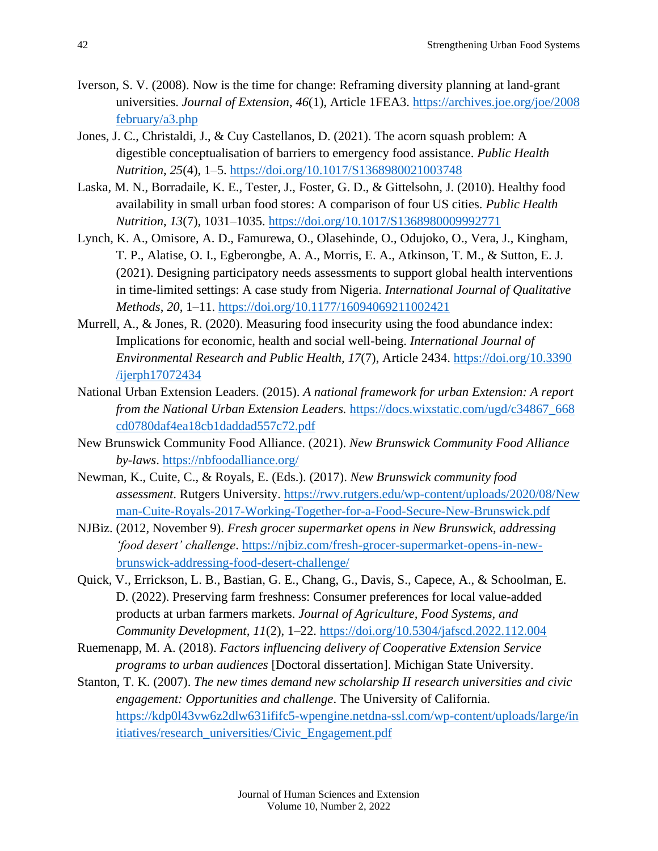- Iverson, S. V. (2008). Now is the time for change: Reframing diversity planning at land-grant universities. *Journal of Extension*, *46*(1), Article 1FEA3. [https://archives.joe.org/joe/2008](https://archives.joe.org/joe/2008february/a3.php) [february/a3.php](https://archives.joe.org/joe/2008february/a3.php)
- Jones, J. C., Christaldi, J., & Cuy Castellanos, D. (2021). The acorn squash problem: A digestible conceptualisation of barriers to emergency food assistance. *Public Health Nutrition*, *25*(4), 1–5.<https://doi.org/10.1017/S1368980021003748>
- Laska, M. N., Borradaile, K. E., Tester, J., Foster, G. D., & Gittelsohn, J. (2010). Healthy food availability in small urban food stores: A comparison of four US cities. *Public Health Nutrition*, *13*(7), 1031–1035.<https://doi.org/10.1017/S1368980009992771>
- Lynch, K. A., Omisore, A. D., Famurewa, O., Olasehinde, O., Odujoko, O., Vera, J., Kingham, T. P., Alatise, O. I., Egberongbe, A. A., Morris, E. A., Atkinson, T. M., & Sutton, E. J. (2021). Designing participatory needs assessments to support global health interventions in time-limited settings: A case study from Nigeria. *International Journal of Qualitative Methods*, *20*, 1–11.<https://doi.org/10.1177/16094069211002421>
- Murrell, A., & Jones, R. (2020). Measuring food insecurity using the food abundance index: Implications for economic, health and social well-being. *International Journal of Environmental Research and Public Health, 17*(7), Article 2434. [https://doi.org/10.3390](https://doi.org/10.3390/ijerph17072434) [/ijerph17072434](https://doi.org/10.3390/ijerph17072434)
- National Urban Extension Leaders. (2015). *A national framework for urban Extension: A report from the National Urban Extension Leaders.* [https://docs.wixstatic.com/ugd/c34867\\_668](https://docs.wixstatic.com/ugd/c34867_668cd0780daf4ea18cb1daddad557c72.pdf) [cd0780daf4ea18cb1daddad557c72.pdf](https://docs.wixstatic.com/ugd/c34867_668cd0780daf4ea18cb1daddad557c72.pdf)
- New Brunswick Community Food Alliance. (2021). *New Brunswick Community Food Alliance by-laws*.<https://nbfoodalliance.org/>
- Newman, K., Cuite, C., & Royals, E. (Eds.). (2017). *New Brunswick community food assessment*. Rutgers University. [https://rwv.rutgers.edu/wp-content/uploads/2020/08/New](https://rwv.rutgers.edu/wp-content/uploads/2020/08/Newman-Cuite-Royals-2017-Working-Together-for-a-Food-Secure-New-Brunswick.pdf) [man-Cuite-Royals-2017-Working-Together-for-a-Food-Secure-New-Brunswick.pdf](https://rwv.rutgers.edu/wp-content/uploads/2020/08/Newman-Cuite-Royals-2017-Working-Together-for-a-Food-Secure-New-Brunswick.pdf)
- NJBiz. (2012, November 9). *Fresh grocer supermarket opens in New Brunswick, addressing 'food desert' challenge*. [https://njbiz.com/fresh-grocer-supermarket-opens-in-new](https://njbiz.com/fresh-grocer-supermarket-opens-in-new-brunswick-addressing-food-desert-challenge/)[brunswick-addressing-food-desert-challenge/](https://njbiz.com/fresh-grocer-supermarket-opens-in-new-brunswick-addressing-food-desert-challenge/)
- Quick, V., Errickson, L. B., Bastian, G. E., Chang, G., Davis, S., Capece, A., & Schoolman, E. D. (2022). Preserving farm freshness: Consumer preferences for local value-added products at urban farmers markets. *Journal of Agriculture, Food Systems, and Community Development, 11*(2), 1–22.<https://doi.org/10.5304/jafscd.2022.112.004>
- Ruemenapp, M. A. (2018). *Factors influencing delivery of Cooperative Extension Service programs to urban audiences* [Doctoral dissertation]. Michigan State University.
- Stanton, T. K. (2007). *The new times demand new scholarship II research universities and civic engagement: Opportunities and challenge*. The University of California. [https://kdp0l43vw6z2dlw631ififc5-wpengine.netdna-ssl.com/wp-content/uploads/large/in](https://kdp0l43vw6z2dlw631ififc5-wpengine.netdna-ssl.com/wp-content/uploads/large/initiatives/research_universities/Civic_Engagement.pdf) [itiatives/research\\_universities/Civic\\_Engagement.pdf](https://kdp0l43vw6z2dlw631ififc5-wpengine.netdna-ssl.com/wp-content/uploads/large/initiatives/research_universities/Civic_Engagement.pdf)